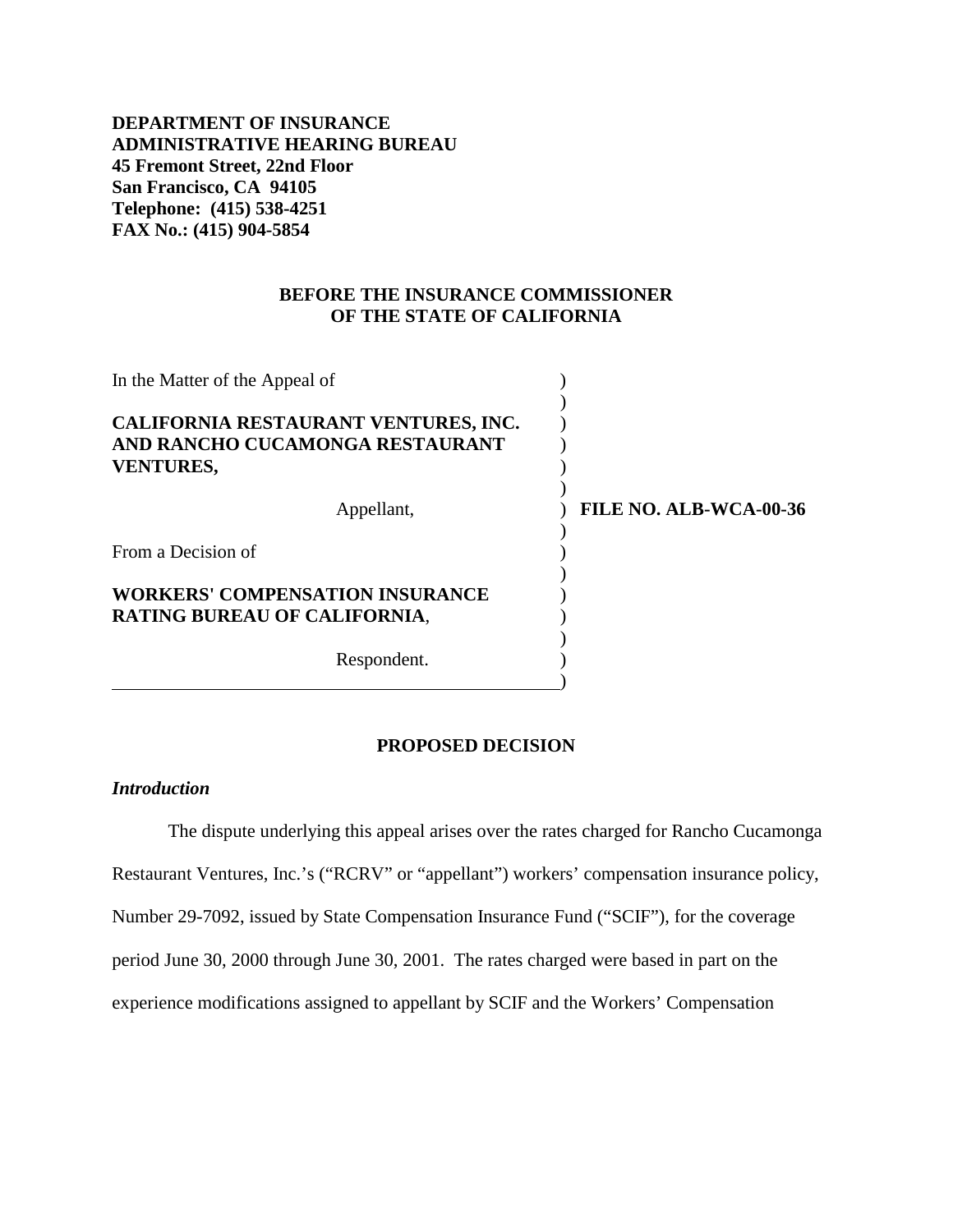# **DEPARTMENT OF INSURANCE ADMINISTRATIVE HEARING BUREAU 45 Fremont Street, 22nd Floor San Francisco, CA 94105 Telephone: (415) 538-4251 FAX No.: (415) 904-5854**

## **BEFORE THE INSURANCE COMMISSIONER OF THE STATE OF CALIFORNIA**

| In the Matter of the Appeal of                                                              |                               |
|---------------------------------------------------------------------------------------------|-------------------------------|
| CALIFORNIA RESTAURANT VENTURES, INC.<br>AND RANCHO CUCAMONGA RESTAURANT<br><b>VENTURES,</b> |                               |
| Appellant,                                                                                  | <b>FILE NO. ALB-WCA-00-36</b> |
| From a Decision of                                                                          |                               |
| <b>WORKERS' COMPENSATION INSURANCE</b><br><b>RATING BUREAU OF CALIFORNIA,</b>               |                               |
| Respondent.                                                                                 |                               |

#### **PROPOSED DECISION**

### *Introduction*

The dispute underlying this appeal arises over the rates charged for Rancho Cucamonga Restaurant Ventures, Inc.'s ("RCRV" or "appellant") workers' compensation insurance policy, Number 29-7092, issued by State Compensation Insurance Fund ("SCIF"), for the coverage period June 30, 2000 through June 30, 2001. The rates charged were based in part on the experience modifications assigned to appellant by SCIF and the Workers' Compensation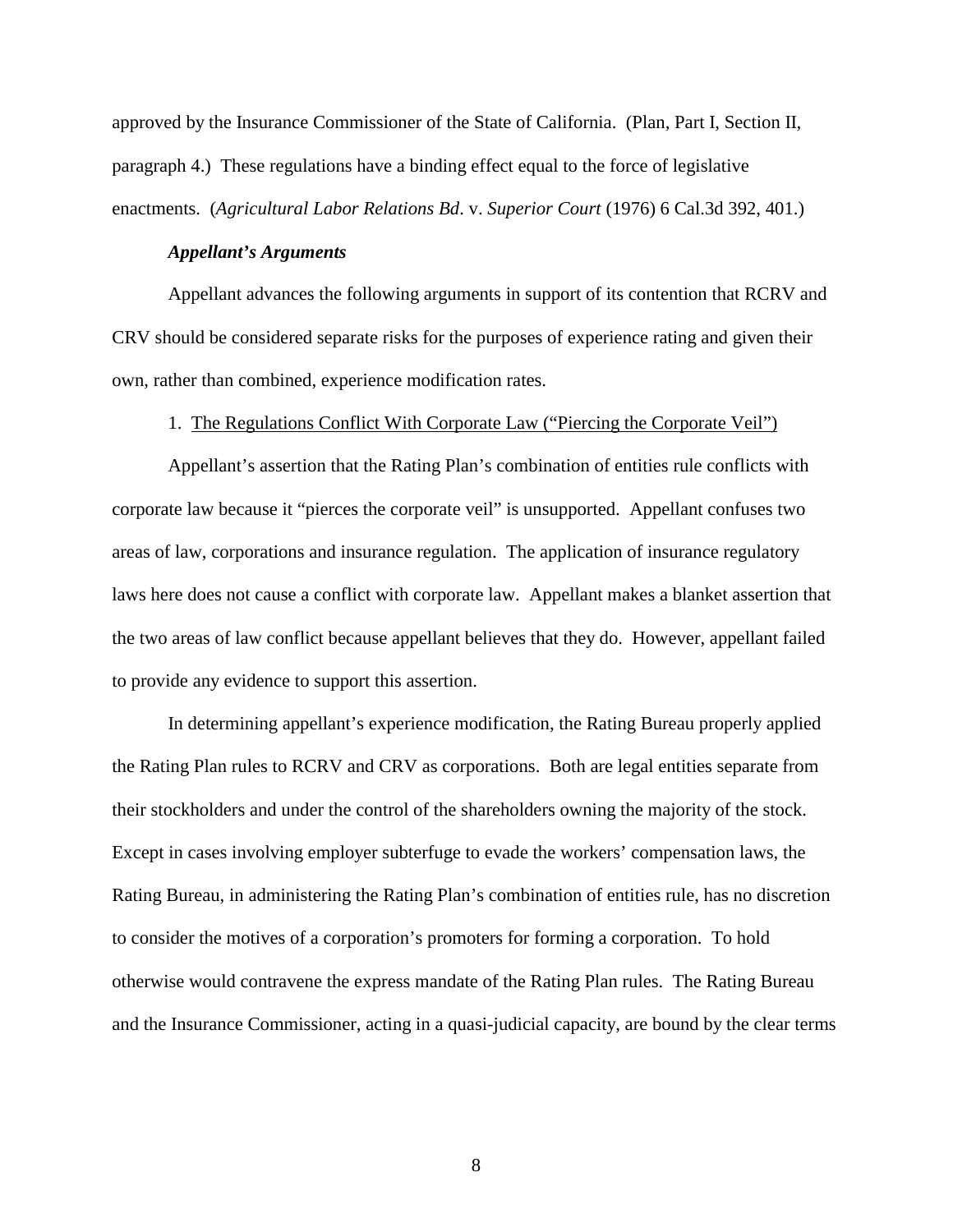approved by the Insurance Commissioner of the State of California. (Plan, Part I, Section II, paragraph 4.) These regulations have a binding effect equal to the force of legislative enactments. (*Agricultural Labor Relations Bd*. v. *Superior Court* (1976) 6 Cal.3d 392, 401.)

#### *Appellant's Arguments*

Appellant advances the following arguments in support of its contention that RCRV and CRV should be considered separate risks for the purposes of experience rating and given their own, rather than combined, experience modification rates.

#### 1. The Regulations Conflict With Corporate Law ("Piercing the Corporate Veil")

Appellant's assertion that the Rating Plan's combination of entities rule conflicts with corporate law because it "pierces the corporate veil" is unsupported. Appellant confuses two areas of law, corporations and insurance regulation. The application of insurance regulatory laws here does not cause a conflict with corporate law. Appellant makes a blanket assertion that the two areas of law conflict because appellant believes that they do. However, appellant failed to provide any evidence to support this assertion.

In determining appellant's experience modification, the Rating Bureau properly applied the Rating Plan rules to RCRV and CRV as corporations. Both are legal entities separate from their stockholders and under the control of the shareholders owning the majority of the stock. Except in cases involving employer subterfuge to evade the workers' compensation laws, the Rating Bureau, in administering the Rating Plan's combination of entities rule, has no discretion to consider the motives of a corporation's promoters for forming a corporation. To hold otherwise would contravene the express mandate of the Rating Plan rules. The Rating Bureau and the Insurance Commissioner, acting in a quasi-judicial capacity, are bound by the clear terms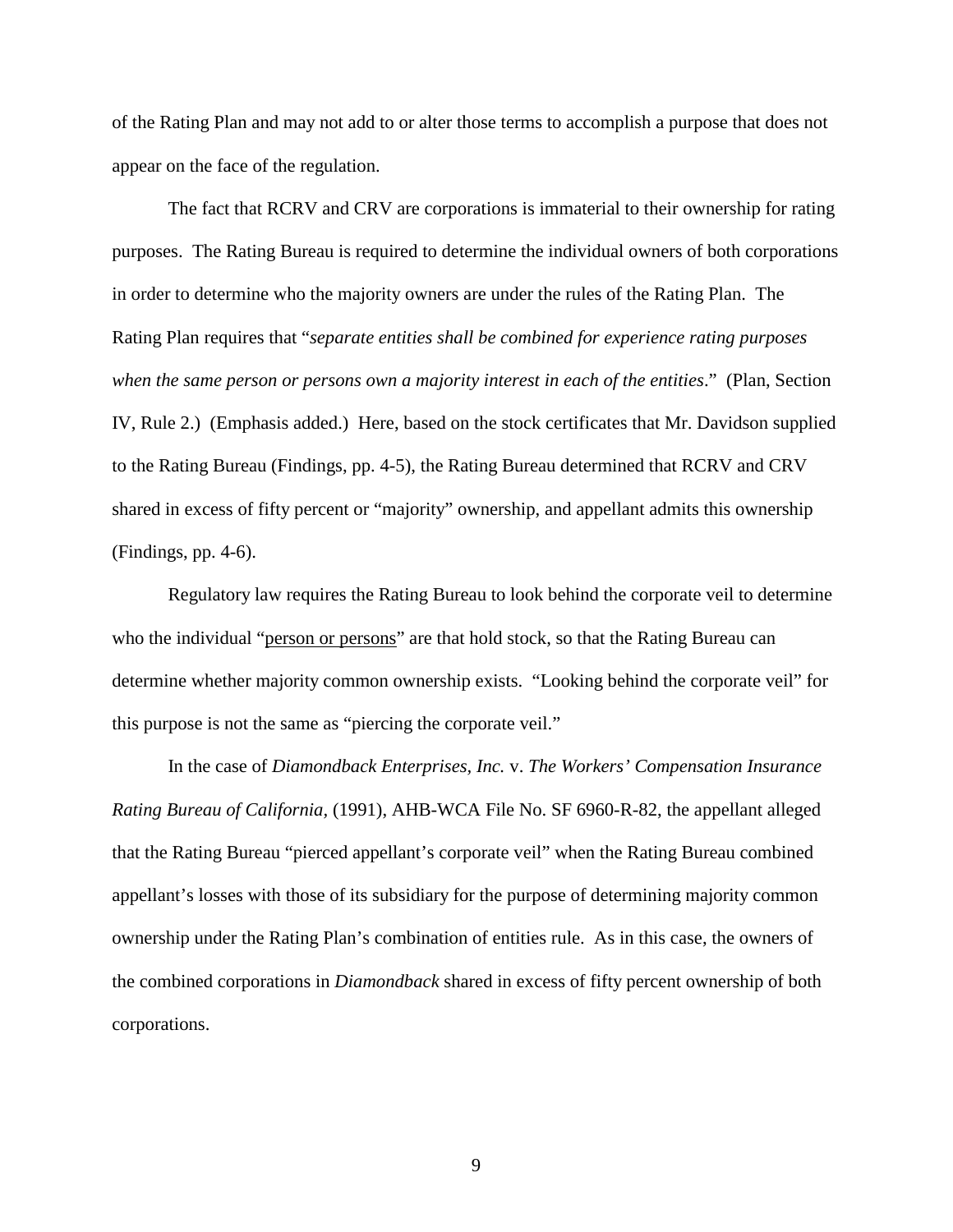of the Rating Plan and may not add to or alter those terms to accomplish a purpose that does not appear on the face of the regulation.

The fact that RCRV and CRV are corporations is immaterial to their ownership for rating purposes. The Rating Bureau is required to determine the individual owners of both corporations in order to determine who the majority owners are under the rules of the Rating Plan. The Rating Plan requires that "*separate entities shall be combined for experience rating purposes when the same person or persons own a majority interest in each of the entities*." (Plan, Section IV, Rule 2.) (Emphasis added.) Here, based on the stock certificates that Mr. Davidson supplied to the Rating Bureau (Findings, pp. 4-5), the Rating Bureau determined that RCRV and CRV shared in excess of fifty percent or "majority" ownership, and appellant admits this ownership (Findings, pp. 4-6).

Regulatory law requires the Rating Bureau to look behind the corporate veil to determine who the individual "<u>person or persons</u>" are that hold stock, so that the Rating Bureau can determine whether majority common ownership exists. "Looking behind the corporate veil" for this purpose is not the same as "piercing the corporate veil."

In the case of *Diamondback Enterprises, Inc.* v. *The Workers' Compensation Insurance Rating Bureau of California,* (1991), AHB-WCA File No. SF 6960-R-82, the appellant alleged that the Rating Bureau "pierced appellant's corporate veil" when the Rating Bureau combined appellant's losses with those of its subsidiary for the purpose of determining majority common ownership under the Rating Plan's combination of entities rule. As in this case, the owners of the combined corporations in *Diamondback* shared in excess of fifty percent ownership of both corporations.

9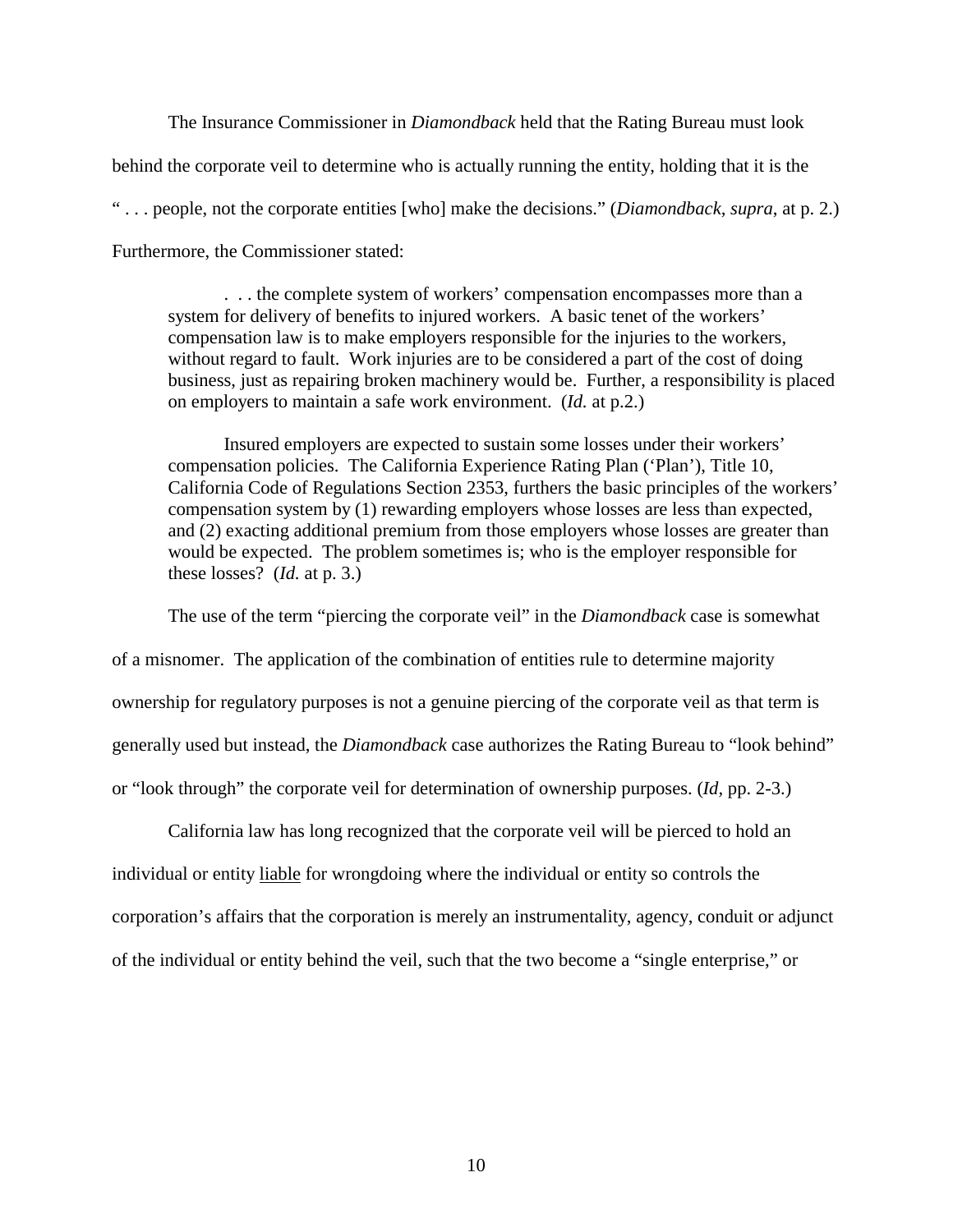The Insurance Commissioner in *Diamondback* held that the Rating Bureau must look behind the corporate veil to determine who is actually running the entity, holding that it is the " . . . people, not the corporate entities [who] make the decisions." (*Diamondback, supra*, at p. 2.) Furthermore, the Commissioner stated:

. . . the complete system of workers' compensation encompasses more than a system for delivery of benefits to injured workers. A basic tenet of the workers' compensation law is to make employers responsible for the injuries to the workers, without regard to fault. Work injuries are to be considered a part of the cost of doing business, just as repairing broken machinery would be. Further, a responsibility is placed on employers to maintain a safe work environment. (*Id.* at p.2.)

Insured employers are expected to sustain some losses under their workers' compensation policies. The California Experience Rating Plan ('Plan'), Title 10, California Code of Regulations Section 2353, furthers the basic principles of the workers' compensation system by (1) rewarding employers whose losses are less than expected, and (2) exacting additional premium from those employers whose losses are greater than would be expected. The problem sometimes is; who is the employer responsible for these losses? (*Id.* at p. 3.)

The use of the term "piercing the corporate veil" in the *Diamondback* case is somewhat of a misnomer. The application of the combination of entities rule to determine majority ownership for regulatory purposes is not a genuine piercing of the corporate veil as that term is generally used but instead, the *Diamondback* case authorizes the Rating Bureau to "look behind" or "look through" the corporate veil for determination of ownership purposes. (*Id,* pp. 2-3.)

individual or entity liable for wrongdoing where the individual or entity so controls the California law has long recognized that the corporate veil will be pierced to hold an corporation's affairs that the corporation is merely an instrumentality, agency, conduit or adjunct of the individual or entity behind the veil, such that the two become a "single enterprise," or